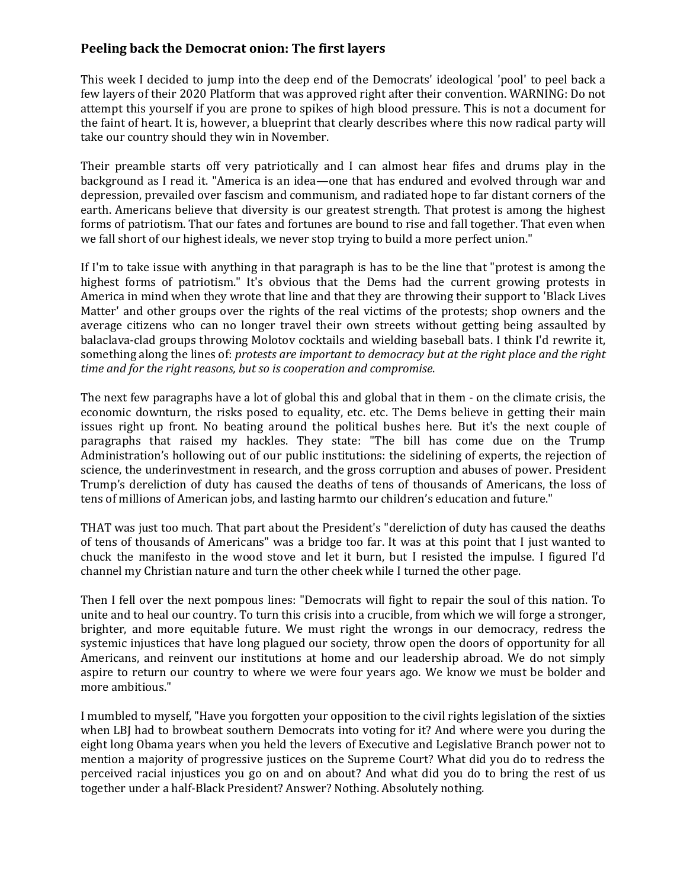## **Peeling back the Democrat onion: The first layers**

This week I decided to jump into the deep end of the Democrats' ideological 'pool' to peel back a few layers of their 2020 Platform that was approved right after their convention. WARNING: Do not attempt this yourself if you are prone to spikes of high blood pressure. This is not a document for the faint of heart. It is, however, a blueprint that clearly describes where this now radical party will take our country should they win in November.

Their preamble starts off very patriotically and I can almost hear fifes and drums play in the background as I read it. "America is an idea—one that has endured and evolved through war and depression, prevailed over fascism and communism, and radiated hope to far distant corners of the earth. Americans believe that diversity is our greatest strength. That protest is among the highest forms of patriotism. That our fates and fortunes are bound to rise and fall together. That even when we fall short of our highest ideals, we never stop trying to build a more perfect union."

If I'm to take issue with anything in that paragraph is has to be the line that "protest is among the highest forms of patriotism." It's obvious that the Dems had the current growing protests in America in mind when they wrote that line and that they are throwing their support to 'Black Lives Matter' and other groups over the rights of the real victims of the protests; shop owners and the average citizens who can no longer travel their own streets without getting being assaulted by balaclava-clad groups throwing Molotov cocktails and wielding baseball bats. I think I'd rewrite it, something along the lines of: *protests are important to democracy but at the right place and the right time and for the right reasons, but so is cooperation and compromise*.

The next few paragraphs have a lot of global this and global that in them - on the climate crisis, the economic downturn, the risks posed to equality, etc. etc. The Dems believe in getting their main issues right up front. No beating around the political bushes here. But it's the next couple of paragraphs that raised my hackles. They state: "The bill has come due on the Trump Administration's hollowing out of our public institutions: the sidelining of experts, the rejection of science, the underinvestment in research, and the gross corruption and abuses of power. President Trump's dereliction of duty has caused the deaths of tens of thousands of Americans, the loss of tens of millions of American jobs, and lasting harmto our children's education and future."

THAT was just too much. That part about the President's "dereliction of duty has caused the deaths of tens of thousands of Americans" was a bridge too far. It was at this point that I just wanted to chuck the manifesto in the wood stove and let it burn, but I resisted the impulse. I figured I'd channel my Christian nature and turn the other cheek while I turned the other page.

Then I fell over the next pompous lines: "Democrats will fight to repair the soul of this nation. To unite and to heal our country. To turn this crisis into a crucible, from which we will forge a stronger, brighter, and more equitable future. We must right the wrongs in our democracy, redress the systemic injustices that have long plagued our society, throw open the doors of opportunity for all Americans, and reinvent our institutions at home and our leadership abroad. We do not simply aspire to return our country to where we were four years ago. We know we must be bolder and more ambitious."

I mumbled to myself, "Have you forgotten your opposition to the civil rights legislation of the sixties when LBJ had to browbeat southern Democrats into voting for it? And where were you during the eight long Obama years when you held the levers of Executive and Legislative Branch power not to mention a majority of progressive justices on the Supreme Court? What did you do to redress the perceived racial injustices you go on and on about? And what did you do to bring the rest of us together under a half-Black President? Answer? Nothing. Absolutely nothing.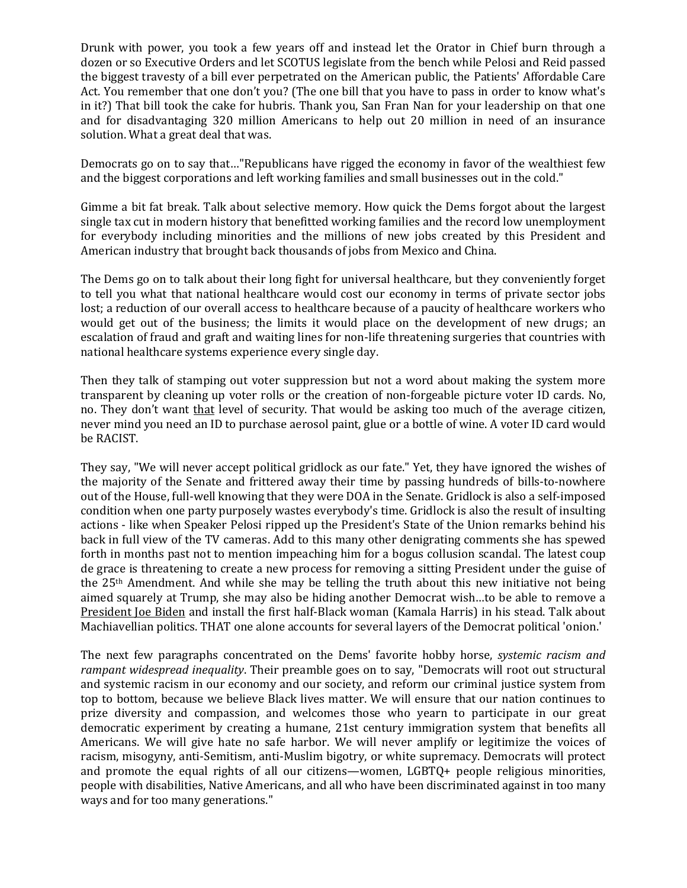Drunk with power, you took a few years off and instead let the Orator in Chief burn through a dozen or so Executive Orders and let SCOTUS legislate from the bench while Pelosi and Reid passed the biggest travesty of a bill ever perpetrated on the American public, the Patients' Affordable Care Act. You remember that one don't you? (The one bill that you have to pass in order to know what's in it?) That bill took the cake for hubris. Thank you, San Fran Nan for your leadership on that one and for disadvantaging 320 million Americans to help out 20 million in need of an insurance solution. What a great deal that was.

Democrats go on to say that…"Republicans have rigged the economy in favor of the wealthiest few and the biggest corporations and left working families and small businesses out in the cold."

Gimme a bit fat break. Talk about selective memory. How quick the Dems forgot about the largest single tax cut in modern history that benefitted working families and the record low unemployment for everybody including minorities and the millions of new jobs created by this President and American industry that brought back thousands of jobs from Mexico and China.

The Dems go on to talk about their long fight for universal healthcare, but they conveniently forget to tell you what that national healthcare would cost our economy in terms of private sector jobs lost; a reduction of our overall access to healthcare because of a paucity of healthcare workers who would get out of the business; the limits it would place on the development of new drugs; an escalation of fraud and graft and waiting lines for non-life threatening surgeries that countries with national healthcare systems experience every single day.

Then they talk of stamping out voter suppression but not a word about making the system more transparent by cleaning up voter rolls or the creation of non-forgeable picture voter ID cards. No, no. They don't want that level of security. That would be asking too much of the average citizen, never mind you need an ID to purchase aerosol paint, glue or a bottle of wine. A voter ID card would be RACIST.

They say, "We will never accept political gridlock as our fate." Yet, they have ignored the wishes of the majority of the Senate and frittered away their time by passing hundreds of bills-to-nowhere out of the House, full-well knowing that they were DOA in the Senate. Gridlock is also a self-imposed condition when one party purposely wastes everybody's time. Gridlock is also the result of insulting actions - like when Speaker Pelosi ripped up the President's State of the Union remarks behind his back in full view of the TV cameras. Add to this many other denigrating comments she has spewed forth in months past not to mention impeaching him for a bogus collusion scandal. The latest coup de grace is threatening to create a new process for removing a sitting President under the guise of the 25th Amendment. And while she may be telling the truth about this new initiative not being aimed squarely at Trump, she may also be hiding another Democrat wish…to be able to remove a President Joe Biden and install the first half-Black woman (Kamala Harris) in his stead. Talk about Machiavellian politics. THAT one alone accounts for several layers of the Democrat political 'onion.'

The next few paragraphs concentrated on the Dems' favorite hobby horse, *systemic racism and rampant widespread inequality*. Their preamble goes on to say, "Democrats will root out structural and systemic racism in our economy and our society, and reform our criminal justice system from top to bottom, because we believe Black lives matter. We will ensure that our nation continues to prize diversity and compassion, and welcomes those who yearn to participate in our great democratic experiment by creating a humane, 21st century immigration system that benefits all Americans. We will give hate no safe harbor. We will never amplify or legitimize the voices of racism, misogyny, anti-Semitism, anti-Muslim bigotry, or white supremacy. Democrats will protect and promote the equal rights of all our citizens—women, LGBTQ+ people religious minorities, people with disabilities, Native Americans, and all who have been discriminated against in too many ways and for too many generations."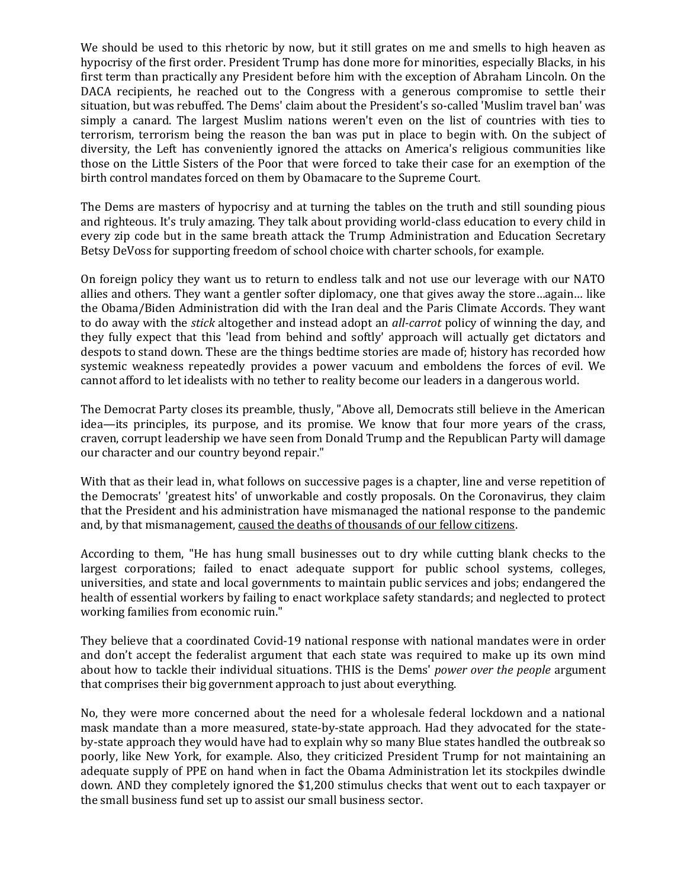We should be used to this rhetoric by now, but it still grates on me and smells to high heaven as hypocrisy of the first order. President Trump has done more for minorities, especially Blacks, in his first term than practically any President before him with the exception of Abraham Lincoln. On the DACA recipients, he reached out to the Congress with a generous compromise to settle their situation, but was rebuffed. The Dems' claim about the President's so-called 'Muslim travel ban' was simply a canard. The largest Muslim nations weren't even on the list of countries with ties to terrorism, terrorism being the reason the ban was put in place to begin with. On the subject of diversity, the Left has conveniently ignored the attacks on America's religious communities like those on the Little Sisters of the Poor that were forced to take their case for an exemption of the birth control mandates forced on them by Obamacare to the Supreme Court.

The Dems are masters of hypocrisy and at turning the tables on the truth and still sounding pious and righteous. It's truly amazing. They talk about providing world-class education to every child in every zip code but in the same breath attack the Trump Administration and Education Secretary Betsy DeVoss for supporting freedom of school choice with charter schools, for example.

On foreign policy they want us to return to endless talk and not use our leverage with our NATO allies and others. They want a gentler softer diplomacy, one that gives away the store…again… like the Obama/Biden Administration did with the Iran deal and the Paris Climate Accords. They want to do away with the *stick* altogether and instead adopt an *all-carrot* policy of winning the day, and they fully expect that this 'lead from behind and softly' approach will actually get dictators and despots to stand down. These are the things bedtime stories are made of; history has recorded how systemic weakness repeatedly provides a power vacuum and emboldens the forces of evil. We cannot afford to let idealists with no tether to reality become our leaders in a dangerous world.

The Democrat Party closes its preamble, thusly, "Above all, Democrats still believe in the American idea—its principles, its purpose, and its promise. We know that four more years of the crass, craven, corrupt leadership we have seen from Donald Trump and the Republican Party will damage our character and our country beyond repair."

With that as their lead in, what follows on successive pages is a chapter, line and verse repetition of the Democrats' 'greatest hits' of unworkable and costly proposals. On the Coronavirus, they claim that the President and his administration have mismanaged the national response to the pandemic and, by that mismanagement, caused the deaths of thousands of our fellow citizens.

According to them, "He has hung small businesses out to dry while cutting blank checks to the largest corporations; failed to enact adequate support for public school systems, colleges, universities, and state and local governments to maintain public services and jobs; endangered the health of essential workers by failing to enact workplace safety standards; and neglected to protect working families from economic ruin."

They believe that a coordinated Covid-19 national response with national mandates were in order and don't accept the federalist argument that each state was required to make up its own mind about how to tackle their individual situations. THIS is the Dems' *power over the people* argument that comprises their big government approach to just about everything.

No, they were more concerned about the need for a wholesale federal lockdown and a national mask mandate than a more measured, state-by-state approach. Had they advocated for the stateby-state approach they would have had to explain why so many Blue states handled the outbreak so poorly, like New York, for example. Also, they criticized President Trump for not maintaining an adequate supply of PPE on hand when in fact the Obama Administration let its stockpiles dwindle down. AND they completely ignored the \$1,200 stimulus checks that went out to each taxpayer or the small business fund set up to assist our small business sector.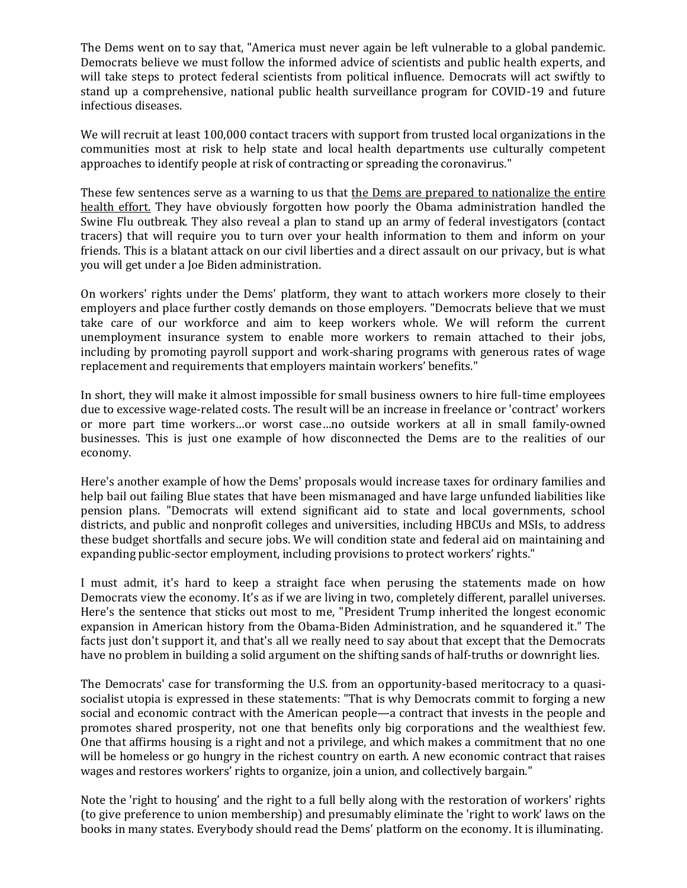The Dems went on to say that, "America must never again be left vulnerable to a global pandemic. Democrats believe we must follow the informed advice of scientists and public health experts, and will take steps to protect federal scientists from political influence. Democrats will act swiftly to stand up a comprehensive, national public health surveillance program for COVID-19 and future infectious diseases.

We will recruit at least 100,000 contact tracers with support from trusted local organizations in the communities most at risk to help state and local health departments use culturally competent approaches to identify people at risk of contracting or spreading the coronavirus."

These few sentences serve as a warning to us that the Dems are prepared to nationalize the entire health effort. They have obviously forgotten how poorly the Obama administration handled the Swine Flu outbreak. They also reveal a plan to stand up an army of federal investigators (contact tracers) that will require you to turn over your health information to them and inform on your friends. This is a blatant attack on our civil liberties and a direct assault on our privacy, but is what you will get under a Joe Biden administration.

On workers' rights under the Dems' platform, they want to attach workers more closely to their employers and place further costly demands on those employers. "Democrats believe that we must take care of our workforce and aim to keep workers whole. We will reform the current unemployment insurance system to enable more workers to remain attached to their jobs, including by promoting payroll support and work-sharing programs with generous rates of wage replacement and requirements that employers maintain workers' benefits."

In short, they will make it almost impossible for small business owners to hire full-time employees due to excessive wage-related costs. The result will be an increase in freelance or 'contract' workers or more part time workers…or worst case…no outside workers at all in small family-owned businesses. This is just one example of how disconnected the Dems are to the realities of our economy.

Here's another example of how the Dems' proposals would increase taxes for ordinary families and help bail out failing Blue states that have been mismanaged and have large unfunded liabilities like pension plans. "Democrats will extend significant aid to state and local governments, school districts, and public and nonprofit colleges and universities, including HBCUs and MSIs, to address these budget shortfalls and secure jobs. We will condition state and federal aid on maintaining and expanding public-sector employment, including provisions to protect workers' rights."

I must admit, it's hard to keep a straight face when perusing the statements made on how Democrats view the economy. It's as if we are living in two, completely different, parallel universes. Here's the sentence that sticks out most to me, "President Trump inherited the longest economic expansion in American history from the Obama-Biden Administration, and he squandered it." The facts just don't support it, and that's all we really need to say about that except that the Democrats have no problem in building a solid argument on the shifting sands of half-truths or downright lies.

The Democrats' case for transforming the U.S. from an opportunity-based meritocracy to a quasisocialist utopia is expressed in these statements: "That is why Democrats commit to forging a new social and economic contract with the American people—a contract that invests in the people and promotes shared prosperity, not one that benefits only big corporations and the wealthiest few. One that affirms housing is a right and not a privilege, and which makes a commitment that no one will be homeless or go hungry in the richest country on earth. A new economic contract that raises wages and restores workers' rights to organize, join a union, and collectively bargain."

Note the 'right to housing' and the right to a full belly along with the restoration of workers' rights (to give preference to union membership) and presumably eliminate the 'right to work' laws on the books in many states. Everybody should read the Dems' platform on the economy. It is illuminating.